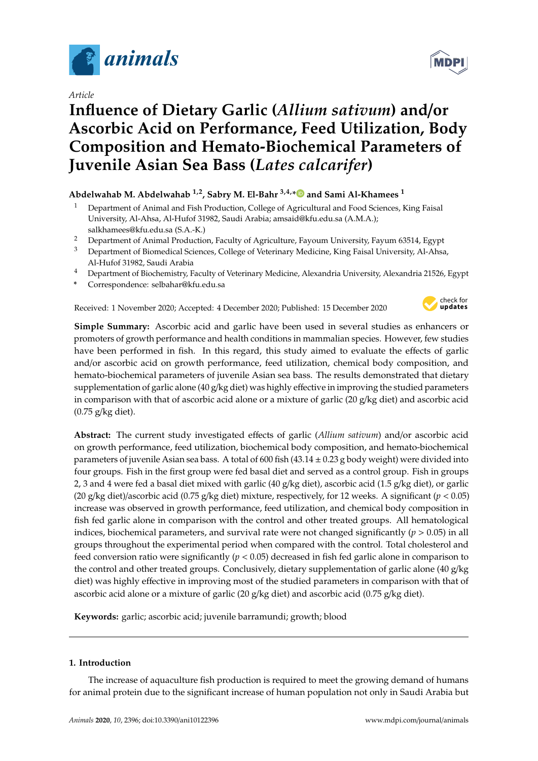

*Article*

# **Influence of Dietary Garlic (***Allium sativum***) and**/**or Ascorbic Acid on Performance, Feed Utilization, Body Composition and Hemato-Biochemical Parameters of Juvenile Asian Sea Bass (***Lates calcarifer***)**

# **Abdelwahab M. Abdelwahab 1,2, Sabry M. El-Bahr 3,4,[\\*](https://orcid.org/0000-0002-3628-2826) and Sami Al-Khamees <sup>1</sup>**

- <sup>1</sup> Department of Animal and Fish Production, College of Agricultural and Food Sciences, King Faisal University, Al-Ahsa, Al-Hufof 31982, Saudi Arabia; amsaid@kfu.edu.sa (A.M.A.); salkhamees@kfu.edu.sa (S.A.-K.)
- <sup>2</sup> Department of Animal Production, Faculty of Agriculture, Fayoum University, Fayum 63514, Egypt
- <sup>3</sup> Department of Biomedical Sciences, College of Veterinary Medicine, King Faisal University, Al-Ahsa, Al-Hufof 31982, Saudi Arabia
- <sup>4</sup> Department of Biochemistry, Faculty of Veterinary Medicine, Alexandria University, Alexandria 21526, Egypt
- **\*** Correspondence: selbahar@kfu.edu.sa

Received: 1 November 2020; Accepted: 4 December 2020; Published: 15 December 2020



**Simple Summary:** Ascorbic acid and garlic have been used in several studies as enhancers or promoters of growth performance and health conditions in mammalian species. However, few studies have been performed in fish. In this regard, this study aimed to evaluate the effects of garlic and/or ascorbic acid on growth performance, feed utilization, chemical body composition, and hemato-biochemical parameters of juvenile Asian sea bass. The results demonstrated that dietary supplementation of garlic alone (40 g/kg diet) was highly effective in improving the studied parameters in comparison with that of ascorbic acid alone or a mixture of garlic (20 g/kg diet) and ascorbic acid (0.75 g/kg diet).

**Abstract:** The current study investigated effects of garlic (*Allium sativum*) and/or ascorbic acid on growth performance, feed utilization, biochemical body composition, and hemato-biochemical parameters of juvenile Asian sea bass. A total of 600 fish  $(43.14 \pm 0.23$  g body weight) were divided into four groups. Fish in the first group were fed basal diet and served as a control group. Fish in groups 2, 3 and 4 were fed a basal diet mixed with garlic (40 g/kg diet), ascorbic acid (1.5 g/kg diet), or garlic (20 g/kg diet)/ascorbic acid (0.75 g/kg diet) mixture, respectively, for 12 weeks. A significant (*p* < 0.05) increase was observed in growth performance, feed utilization, and chemical body composition in fish fed garlic alone in comparison with the control and other treated groups. All hematological indices, biochemical parameters, and survival rate were not changed significantly  $(p > 0.05)$  in all groups throughout the experimental period when compared with the control. Total cholesterol and feed conversion ratio were significantly (*p* < 0.05) decreased in fish fed garlic alone in comparison to the control and other treated groups. Conclusively, dietary supplementation of garlic alone (40 g/kg diet) was highly effective in improving most of the studied parameters in comparison with that of ascorbic acid alone or a mixture of garlic (20 g/kg diet) and ascorbic acid (0.75 g/kg diet).

**Keywords:** garlic; ascorbic acid; juvenile barramundi; growth; blood

# **1. Introduction**

The increase of aquaculture fish production is required to meet the growing demand of humans for animal protein due to the significant increase of human population not only in Saudi Arabia but

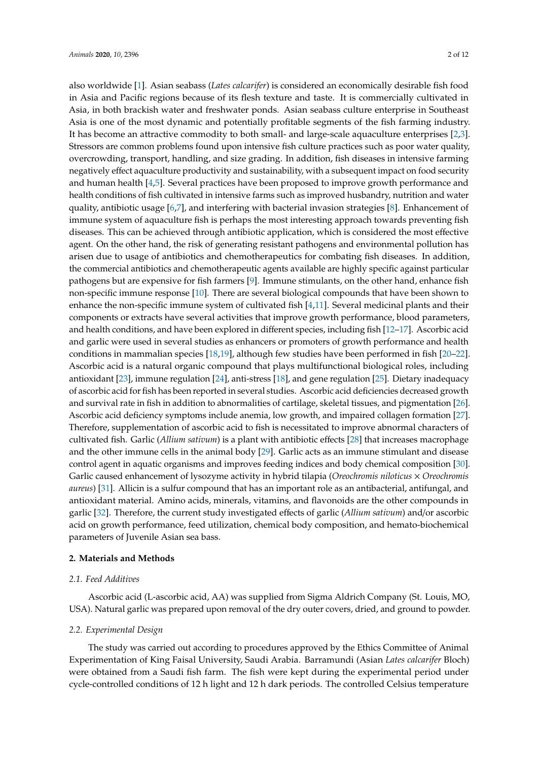also worldwide [\[1\]](#page-7-0). Asian seabass (*Lates calcarifer*) is considered an economically desirable fish food in Asia and Pacific regions because of its flesh texture and taste. It is commercially cultivated in Asia, in both brackish water and freshwater ponds. Asian seabass culture enterprise in Southeast Asia is one of the most dynamic and potentially profitable segments of the fish farming industry. It has become an attractive commodity to both small- and large-scale aquaculture enterprises [\[2,](#page-7-1)[3\]](#page-8-0). Stressors are common problems found upon intensive fish culture practices such as poor water quality, overcrowding, transport, handling, and size grading. In addition, fish diseases in intensive farming negatively effect aquaculture productivity and sustainability, with a subsequent impact on food security and human health [\[4,](#page-8-1)[5\]](#page-8-2). Several practices have been proposed to improve growth performance and health conditions of fish cultivated in intensive farms such as improved husbandry, nutrition and water quality, antibiotic usage [\[6,](#page-8-3)[7\]](#page-8-4), and interfering with bacterial invasion strategies [\[8\]](#page-8-5). Enhancement of immune system of aquaculture fish is perhaps the most interesting approach towards preventing fish diseases. This can be achieved through antibiotic application, which is considered the most effective agent. On the other hand, the risk of generating resistant pathogens and environmental pollution has arisen due to usage of antibiotics and chemotherapeutics for combating fish diseases. In addition, the commercial antibiotics and chemotherapeutic agents available are highly specific against particular pathogens but are expensive for fish farmers [\[9\]](#page-8-6). Immune stimulants, on the other hand, enhance fish non-specific immune response [\[10\]](#page-8-7). There are several biological compounds that have been shown to enhance the non-specific immune system of cultivated fish [\[4,](#page-8-1)[11\]](#page-8-8). Several medicinal plants and their components or extracts have several activities that improve growth performance, blood parameters, and health conditions, and have been explored in different species, including fish [\[12–](#page-8-9)[17\]](#page-8-10). Ascorbic acid and garlic were used in several studies as enhancers or promoters of growth performance and health conditions in mammalian species [\[18,](#page-8-11)[19\]](#page-8-12), although few studies have been performed in fish [\[20–](#page-8-13)[22\]](#page-9-0). Ascorbic acid is a natural organic compound that plays multifunctional biological roles, including antioxidant [\[23\]](#page-9-1), immune regulation [\[24\]](#page-9-2), anti-stress [\[18\]](#page-8-11), and gene regulation [\[25\]](#page-9-3). Dietary inadequacy of ascorbic acid for fish has been reported in several studies. Ascorbic acid deficiencies decreased growth and survival rate in fish in addition to abnormalities of cartilage, skeletal tissues, and pigmentation [\[26\]](#page-9-4). Ascorbic acid deficiency symptoms include anemia, low growth, and impaired collagen formation [\[27\]](#page-9-5). Therefore, supplementation of ascorbic acid to fish is necessitated to improve abnormal characters of cultivated fish. Garlic (*Allium sativum*) is a plant with antibiotic effects [\[28\]](#page-9-6) that increases macrophage and the other immune cells in the animal body [\[29\]](#page-9-7). Garlic acts as an immune stimulant and disease control agent in aquatic organisms and improves feeding indices and body chemical composition [\[30\]](#page-9-8). Garlic caused enhancement of lysozyme activity in hybrid tilapia (*Oreochromis niloticus* × *Oreochromis aureus*) [\[31\]](#page-9-9). Allicin is a sulfur compound that has an important role as an antibacterial, antifungal, and antioxidant material. Amino acids, minerals, vitamins, and flavonoids are the other compounds in garlic [\[32\]](#page-9-10). Therefore, the current study investigated effects of garlic (*Allium sativum*) and/or ascorbic acid on growth performance, feed utilization, chemical body composition, and hemato-biochemical parameters of Juvenile Asian sea bass.

## **2. Materials and Methods**

### *2.1. Feed Additives*

Ascorbic acid (L-ascorbic acid, AA) was supplied from Sigma Aldrich Company (St. Louis, MO, USA). Natural garlic was prepared upon removal of the dry outer covers, dried, and ground to powder.

#### *2.2. Experimental Design*

The study was carried out according to procedures approved by the Ethics Committee of Animal Experimentation of King Faisal University, Saudi Arabia. Barramundi (Asian *Lates calcarifer* Bloch) were obtained from a Saudi fish farm. The fish were kept during the experimental period under cycle-controlled conditions of 12 h light and 12 h dark periods. The controlled Celsius temperature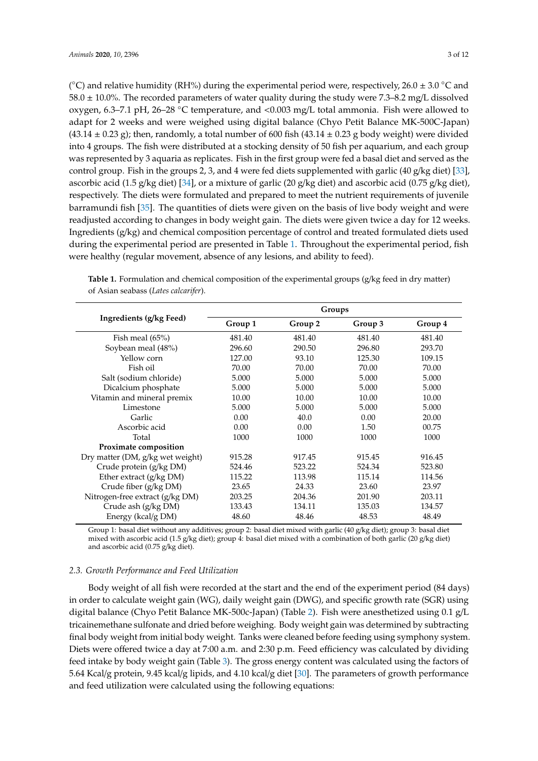( $^{\circ}$ C) and relative humidity (RH%) during the experimental period were, respectively, 26.0  $\pm$  3.0  $^{\circ}$ C and 58.0  $\pm$  10.0%. The recorded parameters of water quality during the study were 7.3–8.2 mg/L dissolved oxygen, 6.3–7.1 pH, 26–28 ◦C temperature, and <0.003 mg/L total ammonia. Fish were allowed to adapt for 2 weeks and were weighed using digital balance (Chyo Petit Balance MK-500C-Japan)  $(43.14 \pm 0.23 \text{ g})$ ; then, randomly, a total number of 600 fish  $(43.14 \pm 0.23 \text{ g}$  body weight) were divided into 4 groups. The fish were distributed at a stocking density of 50 fish per aquarium, and each group was represented by 3 aquaria as replicates. Fish in the first group were fed a basal diet and served as the control group. Fish in the groups 2, 3, and 4 were fed diets supplemented with garlic (40 g/kg diet) [\[33\]](#page-9-11), ascorbic acid (1.5 g/kg diet) [\[34\]](#page-9-12), or a mixture of garlic (20 g/kg diet) and ascorbic acid (0.75 g/kg diet), respectively. The diets were formulated and prepared to meet the nutrient requirements of juvenile barramundi fish [\[35\]](#page-9-13). The quantities of diets were given on the basis of live body weight and were readjusted according to changes in body weight gain. The diets were given twice a day for 12 weeks. Ingredients (g/kg) and chemical composition percentage of control and treated formulated diets used during the experimental period are presented in Table [1.](#page-2-0) Throughout the experimental period, fish were healthy (regular movement, absence of any lesions, and ability to feed).

|                                  | Groups  |         |         |         |
|----------------------------------|---------|---------|---------|---------|
| Ingredients (g/kg Feed)          | Group 1 | Group 2 | Group 3 | Group 4 |
| Fish meal $(65\%)$               | 481.40  | 481.40  | 481.40  | 481.40  |
| Soybean meal (48%)               | 296.60  | 290.50  | 296.80  | 293.70  |
| Yellow corn                      | 127.00  | 93.10   | 125.30  | 109.15  |
| Fish oil                         | 70.00   | 70.00   | 70.00   | 70.00   |
| Salt (sodium chloride)           | 5.000   | 5.000   | 5.000   | 5.000   |
| Dicalcium phosphate              | 5.000   | 5.000   | 5.000   | 5.000   |
| Vitamin and mineral premix       | 10.00   | 10.00   | 10.00   | 10.00   |
| Limestone                        | 5.000   | 5.000   | 5.000   | 5.000   |
| Garlic                           | 0.00    | 40.0    | 0.00    | 20.00   |
| Ascorbic acid                    | 0.00    | 0.00    | 1.50    | 00.75   |
| Total                            | 1000    | 1000    | 1000    | 1000    |
| Proximate composition            |         |         |         |         |
| Dry matter (DM, g/kg wet weight) | 915.28  | 917.45  | 915.45  | 916.45  |
| Crude protein (g/kg DM)          | 524.46  | 523.22  | 524.34  | 523.80  |
| Ether extract (g/kg DM)          | 115.22  | 113.98  | 115.14  | 114.56  |
| Crude fiber (g/kg DM)            | 23.65   | 24.33   | 23.60   | 23.97   |
| Nitrogen-free extract (g/kg DM)  | 203.25  | 204.36  | 201.90  | 203.11  |
| Crude ash (g/kg DM)              | 133.43  | 134.11  | 135.03  | 134.57  |
| Energy (kcal/g DM)               | 48.60   | 48.46   | 48.53   | 48.49   |

<span id="page-2-0"></span>**Table 1.** Formulation and chemical composition of the experimental groups (g/kg feed in dry matter) of Asian seabass (*Lates calcarifer*).

Group 1: basal diet without any additives; group 2: basal diet mixed with garlic (40 g/kg diet); group 3: basal diet mixed with ascorbic acid (1.5 g/kg diet); group 4: basal diet mixed with a combination of both garlic (20 g/kg diet) and ascorbic acid (0.75 g/kg diet).

#### *2.3. Growth Performance and Feed Utilization*

Body weight of all fish were recorded at the start and the end of the experiment period (84 days) in order to calculate weight gain (WG), daily weight gain (DWG), and specific growth rate (SGR) using digital balance (Chyo Petit Balance MK-500c-Japan) (Table [2\)](#page-3-0). Fish were anesthetized using 0.1 g/L tricainemethane sulfonate and dried before weighing. Body weight gain was determined by subtracting final body weight from initial body weight. Tanks were cleaned before feeding using symphony system. Diets were offered twice a day at 7:00 a.m. and 2:30 p.m. Feed efficiency was calculated by dividing feed intake by body weight gain (Table [3\)](#page-3-1). The gross energy content was calculated using the factors of 5.64 Kcal/g protein, 9.45 kcal/g lipids, and 4.10 kcal/g diet [\[30\]](#page-9-8). The parameters of growth performance and feed utilization were calculated using the following equations: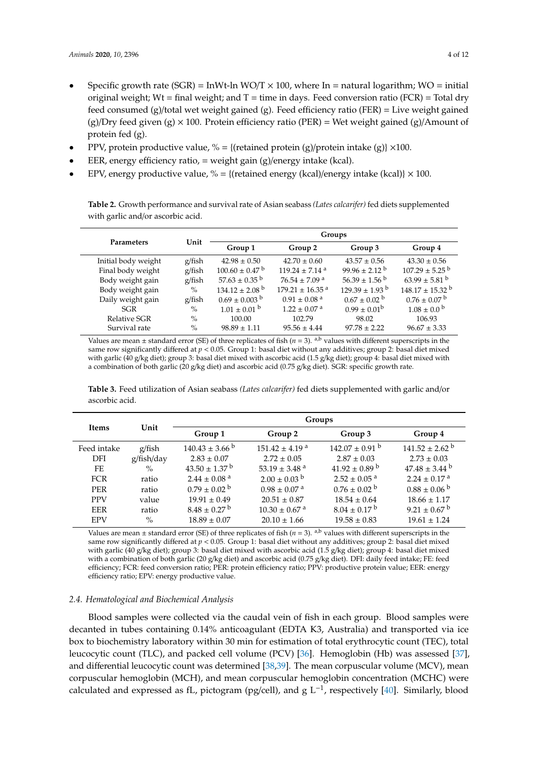- Specific growth rate (SGR) = InWt-ln WO/T  $\times$  100, where In = natural logarithm; WO = initial original weight; Wt = final weight; and  $T =$  time in days. Feed conversion ratio (FCR) = Total dry feed consumed (g)/total wet weight gained (g). Feed efficiency ratio (FER) = Live weight gained  $(g)/Dry$  feed given  $(g) \times 100$ . Protein efficiency ratio (PER) = Wet weight gained  $(g)/A$ mount of protein fed (g).
- PPV, protein productive value,  $\% = \{(\text{retained protein (g)/protein intake (g))} \times 100.\}$
- EER, energy efficiency ratio,  $=$  weight gain (g)/energy intake (kcal).
- EPV, energy productive value,  $% = \{$  (retained energy (kcal)/energy intake (kcal)}  $\times$  100.

<span id="page-3-0"></span>**Table 2.** Growth performance and survival rate of Asian seabass *(Lates calcarifer)* fed diets supplemented with garlic and/or ascorbic acid.

|                     |        | Groups                         |                                 |                               |                                 |
|---------------------|--------|--------------------------------|---------------------------------|-------------------------------|---------------------------------|
| Parameters          | Unit   | Group 1                        | Group 2                         | Group 3                       | Group 4                         |
| Initial body weight | g/fish | $42.98 \pm 0.50$               | $42.70 \pm 0.60$                | $43.57 \pm 0.56$              | $43.30 \pm 0.56$                |
| Final body weight   | g/fish | $100.60 \pm 0.47$ <sup>b</sup> | $119.24 \pm 7.14$ <sup>a</sup>  | $99.96 \pm 2.12^{\mathrm{b}}$ | $107.29 \pm 5.25$ b             |
| Body weight gain    | g/fish | $57.63 \pm 0.35$ <sup>b</sup>  | $76.54 \pm 7.09$ <sup>a</sup>   | $56.39 \pm 1.56$ <sup>b</sup> | $63.99 \pm 5.81$ <sup>b</sup>   |
| Body weight gain    | $\%$   | $134.12 \pm 2.08$ <sup>b</sup> | $179.21 \pm 16.35$ <sup>a</sup> | $129.39 \pm 1.93^{\circ}$     | $148.17 \pm 15.32$ <sup>b</sup> |
| Daily weight gain   | g/fish | $0.69 \pm 0.003^{b}$           | $0.91 \pm 0.08$ <sup>a</sup>    | $0.67 \pm 0.02$ <sup>b</sup>  | $0.76 \pm 0.07$ b               |
| SGR                 | $\%$   | $1.01 \pm 0.01$ b              | $1.22 \pm 0.07$ <sup>a</sup>    | $0.99 \pm 0.01^{\rm b}$       | $1.08 \pm 0.0^{\circ}$          |
| Relative SGR        | $\%$   | 100.00                         | 102.79                          | 98.02                         | 106.93                          |
| Survival rate       | $\%$   | $98.89 \pm 1.11$               | $95.56 \pm 4.44$                | $97.78 \pm 2.22$              | $96.67 \pm 3.33$                |

Values are mean  $\pm$  standard error (SE) of three replicates of fish ( $n = 3$ ). <sup>a,b</sup> values with different superscripts in the same row significantly differed at  $p < 0.05$ . Group 1: basal diet without any additives; group 2: basal diet mixed with garlic (40 g/kg diet); group 3: basal diet mixed with ascorbic acid (1.5 g/kg diet); group 4: basal diet mixed with a combination of both garlic (20 g/kg diet) and ascorbic acid (0.75 g/kg diet). SGR: specific growth rate.

<span id="page-3-1"></span>**Table 3.** Feed utilization of Asian seabass *(Lates calcarifer)* fed diets supplemented with garlic and/or ascorbic acid.

|             |            | Groups                        |                                |                              |                                |  |
|-------------|------------|-------------------------------|--------------------------------|------------------------------|--------------------------------|--|
| Items       | Unit       | Group 1                       | Group 2                        | Group 3                      | Group 4                        |  |
| Feed intake | g/fish     | $140.43 \pm 3.66^{\circ}$     | $151.42 \pm 4.19$ <sup>a</sup> | $142.07 \pm 0.91$ b          | $141.52 \pm 2.62$ <sup>b</sup> |  |
| <b>DFI</b>  | g/fish/day | $2.83 \pm 0.07$               | $2.72 \pm 0.05$                | $2.87 \pm 0.03$              | $2.73 \pm 0.03$                |  |
| FE.         | $\%$       | $43.50 \pm 1.37$ <sup>b</sup> | 53.19 $\pm$ 3.48 <sup>a</sup>  | $41.92 \pm 0.89$ b           | $47.48 \pm 3.44$ b             |  |
| <b>FCR</b>  | ratio      | $2.44 \pm 0.08$ <sup>a</sup>  | $2.00 \pm 0.03$ b              | $2.52 \pm 0.05$ <sup>a</sup> | $2.24 \pm 0.17$ <sup>a</sup>   |  |
| <b>PER</b>  | ratio      | $0.79 \pm 0.02$ <sup>b</sup>  | $0.98 \pm 0.07$ <sup>a</sup>   | $0.76 \pm 0.02$ b            | $0.88 \pm 0.06^{b}$            |  |
| <b>PPV</b>  | value      | $19.91 \pm 0.49$              | $20.51 \pm 0.87$               | $18.54 \pm 0.64$             | $18.66 \pm 1.17$               |  |
| <b>EER</b>  | ratio      | $8.48 \pm 0.27$ <sup>b</sup>  | $10.30 \pm 0.67$ <sup>a</sup>  | $8.04 \pm 0.17^{\text{ b}}$  | $9.21 \pm 0.67$ <sup>b</sup>   |  |
| <b>EPV</b>  | $\%$       | $18.89 \pm 0.07$              | $20.10 \pm 1.66$               | $19.58 \pm 0.83$             | $19.61 \pm 1.24$               |  |

Values are mean  $\pm$  standard error (SE) of three replicates of fish ( $n = 3$ ). <sup>a,b</sup> values with different superscripts in the same row significantly differed at *p* < 0.05. Group 1: basal diet without any additives; group 2: basal diet mixed with garlic (40 g/kg diet); group 3: basal diet mixed with ascorbic acid (1.5 g/kg diet); group 4: basal diet mixed with a combination of both garlic (20 g/kg diet) and ascorbic acid (0.75 g/kg diet). DFI: daily feed intake; FE: feed efficiency; FCR: feed conversion ratio; PER: protein efficiency ratio; PPV: productive protein value; EER: energy efficiency ratio; EPV: energy productive value.

#### *2.4. Hematological and Biochemical Analysis*

Blood samples were collected via the caudal vein of fish in each group. Blood samples were decanted in tubes containing 0.14% anticoagulant (EDTA K3, Australia) and transported via ice box to biochemistry laboratory within 30 min for estimation of total erythrocytic count (TEC), total leucocytic count (TLC), and packed cell volume (PCV) [\[36\]](#page-9-14). Hemoglobin (Hb) was assessed [\[37\]](#page-9-15), and differential leucocytic count was determined [\[38](#page-9-16)[,39\]](#page-9-17). The mean corpuscular volume (MCV), mean corpuscular hemoglobin (MCH), and mean corpuscular hemoglobin concentration (MCHC) were calculated and expressed as fL, pictogram (pg/cell), and g  $L^{-1}$ , respectively [\[40\]](#page-9-18). Similarly, blood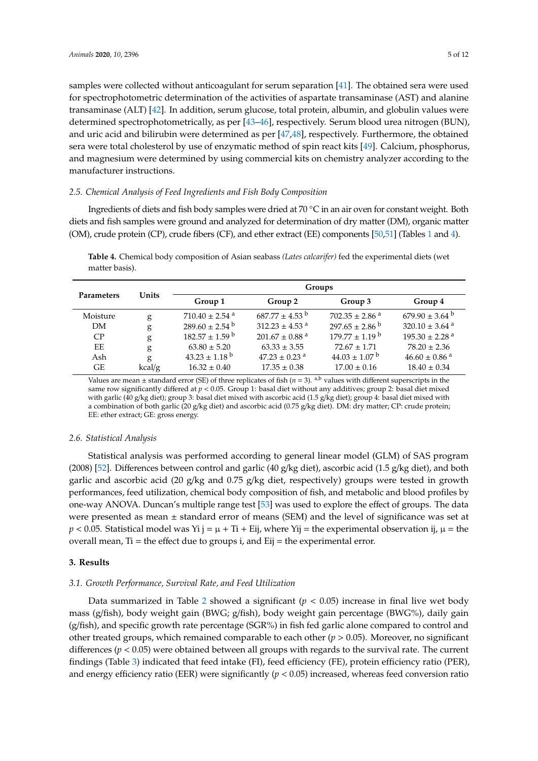samples were collected without anticoagulant for serum separation [\[41\]](#page-9-19). The obtained sera were used for spectrophotometric determination of the activities of aspartate transaminase (AST) and alanine transaminase (ALT) [\[42\]](#page-9-20). In addition, serum glucose, total protein, albumin, and globulin values were determined spectrophotometrically, as per [\[43](#page-9-21)[–46\]](#page-9-22), respectively. Serum blood urea nitrogen (BUN), and uric acid and bilirubin were determined as per [\[47,](#page-10-0)[48\]](#page-10-1), respectively. Furthermore, the obtained sera were total cholesterol by use of enzymatic method of spin react kits [\[49\]](#page-10-2). Calcium, phosphorus, and magnesium were determined by using commercial kits on chemistry analyzer according to the manufacturer instructions.

#### *2.5. Chemical Analysis of Feed Ingredients and Fish Body Composition*

Ingredients of diets and fish body samples were dried at 70 ◦C in an air oven for constant weight. Both diets and fish samples were ground and analyzed for determination of dry matter (DM), organic matter (OM), crude protein (CP), crude fibers (CF), and ether extract (EE) components [\[50](#page-10-3)[,51\]](#page-10-4) (Tables [1](#page-2-0) and [4\)](#page-4-0).

|                   |        | Groups                         |                                |                                |                                |
|-------------------|--------|--------------------------------|--------------------------------|--------------------------------|--------------------------------|
| <b>Parameters</b> | Units  | Group 1                        | Group 2                        | Group 3                        | Group 4                        |
| Moisture          | g      | $710.40 \pm 2.54$ <sup>a</sup> | $687.77 \pm 4.53$ b            | $702.35 \pm 2.86$ <sup>a</sup> | $679.90 \pm 3.64$ b            |
| DM                | g      | $289.60 \pm 2.54$ <sup>b</sup> | $312.23 \pm 4.53$ <sup>a</sup> | $297.65 \pm 2.86^{\circ}$      | $320.10 \pm 3.64$ <sup>a</sup> |
| CP                | g      | $182.57 \pm 1.59$ b            | $201.67 \pm 0.88$ <sup>a</sup> | $179.77 \pm 1.19^{\mathrm{b}}$ | $195.30 \pm 2.28$ <sup>a</sup> |
| EE                | g      | $63.80 \pm 5.20$               | $63.33 \pm 3.55$               | $72.67 \pm 1.71$               | $78.20 \pm 2.36$               |
| Ash               | g      | $43.23 \pm 1.18$ <sup>b</sup>  | $47.23 \pm 0.23$ <sup>a</sup>  | $44.03 \pm 1.07$ b             | $46.60 \pm 0.86$ <sup>a</sup>  |
| GЕ                | kcal/g | $16.32 \pm 0.40$               | $17.35 \pm 0.38$               | $17.00 \pm 0.16$               | $18.40 \pm 0.34$               |

<span id="page-4-0"></span>**Table 4.** Chemical body composition of Asian seabass *(Lates calcarifer)* fed the experimental diets (wet matter basis).

Values are mean  $\pm$  standard error (SE) of three replicates of fish ( $n = 3$ ). <sup>a,b</sup> values with different superscripts in the same row significantly differed at *p* < 0.05. Group 1: basal diet without any additives; group 2: basal diet mixed with garlic (40 g/kg diet); group 3: basal diet mixed with ascorbic acid (1.5 g/kg diet); group 4: basal diet mixed with a combination of both garlic (20 g/kg diet) and ascorbic acid (0.75 g/kg diet). DM: dry matter; CP: crude protein; EE: ether extract; GE: gross energy.

#### *2.6. Statistical Analysis*

Statistical analysis was performed according to general linear model (GLM) of SAS program (2008) [\[52\]](#page-10-5). Differences between control and garlic (40 g/kg diet), ascorbic acid (1.5 g/kg diet), and both garlic and ascorbic acid (20 g/kg and 0.75 g/kg diet, respectively) groups were tested in growth performances, feed utilization, chemical body composition of fish, and metabolic and blood profiles by one-way ANOVA. Duncan's multiple range test [\[53\]](#page-10-6) was used to explore the effect of groups. The data were presented as mean  $\pm$  standard error of means (SEM) and the level of significance was set at  $p < 0.05$ . Statistical model was Yi j =  $\mu$  + Ti + Eij, where Yij = the experimental observation ij,  $\mu$  = the overall mean,  $Ti =$  the effect due to groups  $i$ , and  $Eij =$  the experimental error.

#### **3. Results**

#### *3.1. Growth Performance, Survival Rate, and Feed Utilization*

Data summarized in Table [2](#page-3-0) showed a significant  $(p < 0.05)$  increase in final live wet body mass (g/fish), body weight gain (BWG; g/fish), body weight gain percentage (BWG%), daily gain (g/fish), and specific growth rate percentage (SGR%) in fish fed garlic alone compared to control and other treated groups, which remained comparable to each other  $(p > 0.05)$ . Moreover, no significant differences ( $p < 0.05$ ) were obtained between all groups with regards to the survival rate. The current findings (Table [3\)](#page-3-1) indicated that feed intake (FI), feed efficiency (FE), protein efficiency ratio (PER), and energy efficiency ratio (EER) were significantly (*p* < 0.05) increased, whereas feed conversion ratio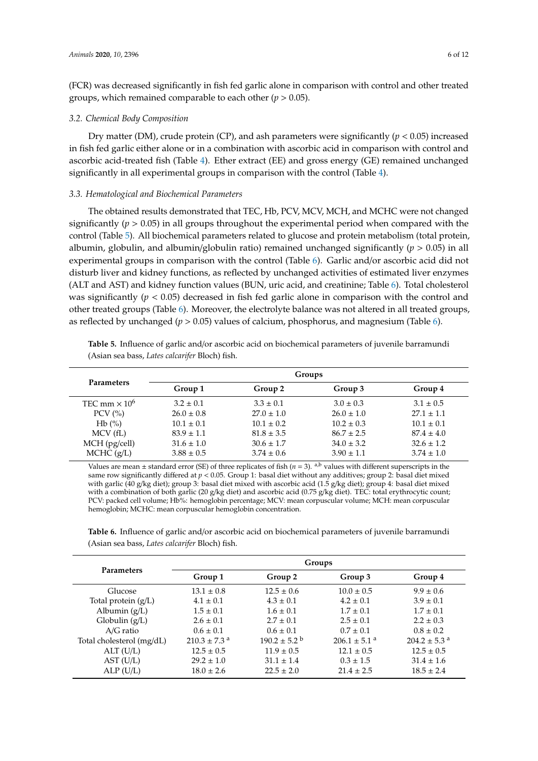(FCR) was decreased significantly in fish fed garlic alone in comparison with control and other treated groups, which remained comparable to each other (*p* > 0.05).

#### *3.2. Chemical Body Composition*

Dry matter (DM), crude protein (CP), and ash parameters were significantly ( $p < 0.05$ ) increased in fish fed garlic either alone or in a combination with ascorbic acid in comparison with control and ascorbic acid-treated fish (Table [4\)](#page-4-0). Ether extract (EE) and gross energy (GE) remained unchanged significantly in all experimental groups in comparison with the control (Table [4\)](#page-4-0).

#### *3.3. Hematological and Biochemical Parameters*

The obtained results demonstrated that TEC, Hb, PCV, MCV, MCH, and MCHC were not changed significantly ( $p > 0.05$ ) in all groups throughout the experimental period when compared with the control (Table [5\)](#page-5-0). All biochemical parameters related to glucose and protein metabolism (total protein, albumin, globulin, and albumin/globulin ratio) remained unchanged significantly (*p* > 0.05) in all experimental groups in comparison with the control (Table [6\)](#page-6-0). Garlic and/or ascorbic acid did not disturb liver and kidney functions, as reflected by unchanged activities of estimated liver enzymes (ALT and AST) and kidney function values (BUN, uric acid, and creatinine; Table [6\)](#page-6-0). Total cholesterol was significantly (*p* < 0.05) decreased in fish fed garlic alone in comparison with the control and other treated groups (Table [6\)](#page-6-0). Moreover, the electrolyte balance was not altered in all treated groups, as reflected by unchanged (*p* > 0.05) values of calcium, phosphorus, and magnesium (Table [6\)](#page-6-0).

<span id="page-5-0"></span>**Table 5.** Influence of garlic and/or ascorbic acid on biochemical parameters of juvenile barramundi (Asian sea bass, *Lates calcarifer* Bloch) fish.

| <b>Parameters</b>               | Groups         |                |                |                |  |  |
|---------------------------------|----------------|----------------|----------------|----------------|--|--|
|                                 | Group 1        | Group 2        | Group 3        | Group 4        |  |  |
| TEC mm $\times$ 10 <sup>6</sup> | $3.2 \pm 0.1$  | $3.3 \pm 0.1$  | $3.0 \pm 0.3$  | $3.1 \pm 0.5$  |  |  |
| PCV $(\% )$                     | $26.0 \pm 0.8$ | $27.0 \pm 1.0$ | $26.0 \pm 1.0$ | $27.1 \pm 1.1$ |  |  |
| Hb(%)                           | $10.1 \pm 0.1$ | $10.1 \pm 0.2$ | $10.2 \pm 0.3$ | $10.1 \pm 0.1$ |  |  |
| MCV(fL)                         | $83.9 \pm 1.1$ | $81.8 \pm 3.5$ | $86.7 \pm 2.5$ | $87.4 \pm 4.0$ |  |  |
| MCH (pg/cell)                   | $31.6 \pm 1.0$ | $30.6 \pm 1.7$ | $34.0 \pm 3.2$ | $32.6 \pm 1.2$ |  |  |
| MCHC (g/L)                      | $3.88 \pm 0.5$ | $3.74 \pm 0.6$ | $3.90 \pm 1.1$ | $3.74 \pm 1.0$ |  |  |

Values are mean  $\pm$  standard error (SE) of three replicates of fish ( $n = 3$ ). <sup>a,b</sup> values with different superscripts in the same row significantly differed at *p* < 0.05. Group 1: basal diet without any additives; group 2: basal diet mixed with garlic (40 g/kg diet); group 3: basal diet mixed with ascorbic acid (1.5 g/kg diet); group 4: basal diet mixed with a combination of both garlic (20 g/kg diet) and ascorbic acid (0.75 g/kg diet). TEC: total erythrocytic count; PCV: packed cell volume; Hb%: hemoglobin percentage; MCV: mean corpuscular volume; MCH: mean corpuscular hemoglobin; MCHC: mean corpuscular hemoglobin concentration.

**Table 6.** Influence of garlic and/or ascorbic acid on biochemical parameters of juvenile barramundi (Asian sea bass, *Lates calcarifer* Bloch) fish.

|                           | Groups                       |                              |                              |                              |  |
|---------------------------|------------------------------|------------------------------|------------------------------|------------------------------|--|
| <b>Parameters</b>         | Group 1                      | Group 2                      | Group 3                      | Group 4                      |  |
| Glucose                   | $13.1 \pm 0.8$               | $12.5 \pm 0.6$               | $10.0 \pm 0.5$               | $9.9 \pm 0.6$                |  |
| Total protein $(g/L)$     | $4.1 \pm 0.1$                | $4.3 \pm 0.1$                | $4.2 \pm 0.1$                | $3.9 \pm 0.1$                |  |
| Albumin $(g/L)$           | $1.5 \pm 0.1$                | $1.6 \pm 0.1$                | $1.7 \pm 0.1$                | $1.7 \pm 0.1$                |  |
| Globulin $(g/L)$          | $2.6 \pm 0.1$                | $2.7 \pm 0.1$                | $2.5 \pm 0.1$                | $2.2 \pm 0.3$                |  |
| $A/G$ ratio               | $0.6 \pm 0.1$                | $0.6 \pm 0.1$                | $0.7 \pm 0.1$                | $0.8 \pm 0.2$                |  |
| Total cholesterol (mg/dL) | $210.3 \pm 7.3$ <sup>a</sup> | $190.2 \pm 5.2$ <sup>b</sup> | $206.1 \pm 5.1$ <sup>a</sup> | $204.2 \pm 5.3$ <sup>a</sup> |  |
| ALT(U/L)                  | $12.5 \pm 0.5$               | $11.9 \pm 0.5$               | $12.1 \pm 0.5$               | $12.5 \pm 0.5$               |  |
| AST (U/L)                 | $29.2 \pm 1.0$               | $31.1 \pm 1.4$               | $0.3 \pm 1.5$                | $31.4 \pm 1.6$               |  |
| ALP(U/L)                  | $18.0 \pm 2.6$               | $22.5 \pm 2.0$               | $21.4 \pm 2.5$               | $18.5 \pm 2.4$               |  |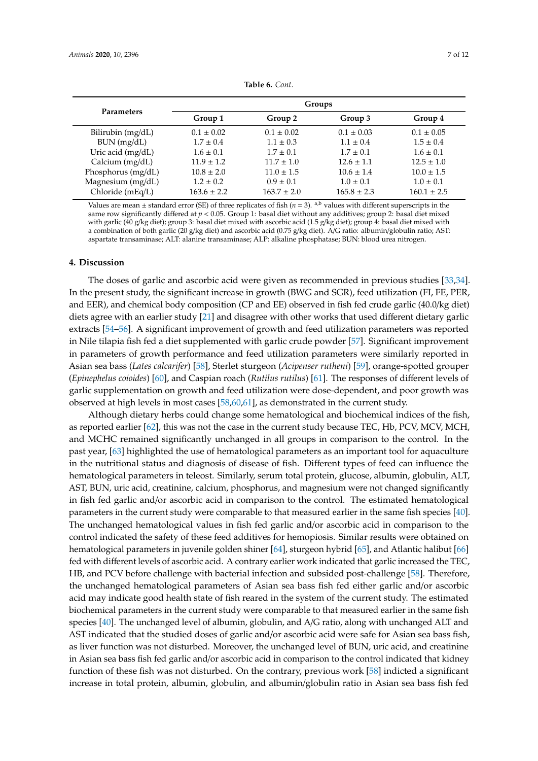<span id="page-6-0"></span>

| <b>Parameters</b>  | Groups          |                 |                 |                 |  |
|--------------------|-----------------|-----------------|-----------------|-----------------|--|
|                    | Group 1         | Group 2         | Group 3         | Group 4         |  |
| Bilirubin (mg/dL)  | $0.1 \pm 0.02$  | $0.1 \pm 0.02$  | $0.1 \pm 0.03$  | $0.1 \pm 0.05$  |  |
| BUN (mg/dL)        | $1.7 \pm 0.4$   | $1.1 \pm 0.3$   | $1.1 \pm 0.4$   | $1.5 \pm 0.4$   |  |
| Uric acid (mg/dL)  | $1.6 \pm 0.1$   | $1.7 \pm 0.1$   | $1.7 \pm 0.1$   | $1.6 \pm 0.1$   |  |
| Calcium (mg/dL)    | $11.9 \pm 1.2$  | $11.7 \pm 1.0$  | $12.6 \pm 1.1$  | $12.5 \pm 1.0$  |  |
| Phosphorus (mg/dL) | $10.8 \pm 2.0$  | $11.0 \pm 1.5$  | $10.6 \pm 1.4$  | $10.0 \pm 1.5$  |  |
| Magnesium (mg/dL)  | $1.2 \pm 0.2$   | $0.9 \pm 0.1$   | $1.0 \pm 0.1$   | $1.0 \pm 0.1$   |  |
| Chloride (mEq/L)   | $163.6 \pm 2.2$ | $163.7 \pm 2.0$ | $165.8 \pm 2.3$ | $160.1 \pm 2.5$ |  |

**Table 6.** *Cont.*

Values are mean  $\pm$  standard error (SE) of three replicates of fish ( $n = 3$ ). <sup>a,b</sup> values with different superscripts in the same row significantly differed at *p* < 0.05. Group 1: basal diet without any additives; group 2: basal diet mixed with garlic (40 g/kg diet); group 3: basal diet mixed with ascorbic acid (1.5 g/kg diet); group 4: basal diet mixed with a combination of both garlic (20 g/kg diet) and ascorbic acid (0.75 g/kg diet). A/G ratio: albumin/globulin ratio; AST: aspartate transaminase; ALT: alanine transaminase; ALP: alkaline phosphatase; BUN: blood urea nitrogen.

#### **4. Discussion**

The doses of garlic and ascorbic acid were given as recommended in previous studies [\[33,](#page-9-11)[34\]](#page-9-12). In the present study, the significant increase in growth (BWG and SGR), feed utilization (FI, FE, PER, and EER), and chemical body composition (CP and EE) observed in fish fed crude garlic (40.0/kg diet) diets agree with an earlier study [\[21\]](#page-8-14) and disagree with other works that used different dietary garlic extracts [\[54–](#page-10-7)[56\]](#page-10-8). A significant improvement of growth and feed utilization parameters was reported in Nile tilapia fish fed a diet supplemented with garlic crude powder [\[57\]](#page-10-9). Significant improvement in parameters of growth performance and feed utilization parameters were similarly reported in Asian sea bass (*Lates calcarifer*) [\[58\]](#page-10-10), Sterlet sturgeon (*Acipenser rutheni*) [\[59\]](#page-10-11), orange-spotted grouper (*Epinephelus coioides*) [\[60\]](#page-10-12), and Caspian roach (*Rutilus rutilus*) [\[61\]](#page-10-13). The responses of different levels of garlic supplementation on growth and feed utilization were dose-dependent, and poor growth was observed at high levels in most cases [\[58,](#page-10-10)[60,](#page-10-12)[61\]](#page-10-13), as demonstrated in the current study.

Although dietary herbs could change some hematological and biochemical indices of the fish, as reported earlier [\[62\]](#page-10-14), this was not the case in the current study because TEC, Hb, PCV, MCV, MCH, and MCHC remained significantly unchanged in all groups in comparison to the control. In the past year, [\[63\]](#page-10-15) highlighted the use of hematological parameters as an important tool for aquaculture in the nutritional status and diagnosis of disease of fish. Different types of feed can influence the hematological parameters in teleost. Similarly, serum total protein, glucose, albumin, globulin, ALT, AST, BUN, uric acid, creatinine, calcium, phosphorus, and magnesium were not changed significantly in fish fed garlic and/or ascorbic acid in comparison to the control. The estimated hematological parameters in the current study were comparable to that measured earlier in the same fish species [\[40\]](#page-9-18). The unchanged hematological values in fish fed garlic and/or ascorbic acid in comparison to the control indicated the safety of these feed additives for hemopiosis. Similar results were obtained on hematological parameters in juvenile golden shiner [\[64\]](#page-10-16), sturgeon hybrid [\[65\]](#page-10-17), and Atlantic halibut [\[66\]](#page-10-18) fed with different levels of ascorbic acid. A contrary earlier work indicated that garlic increased the TEC, HB, and PCV before challenge with bacterial infection and subsided post-challenge [\[58\]](#page-10-10). Therefore, the unchanged hematological parameters of Asian sea bass fish fed either garlic and/or ascorbic acid may indicate good health state of fish reared in the system of the current study. The estimated biochemical parameters in the current study were comparable to that measured earlier in the same fish species [\[40\]](#page-9-18). The unchanged level of albumin, globulin, and A/G ratio, along with unchanged ALT and AST indicated that the studied doses of garlic and/or ascorbic acid were safe for Asian sea bass fish, as liver function was not disturbed. Moreover, the unchanged level of BUN, uric acid, and creatinine in Asian sea bass fish fed garlic and/or ascorbic acid in comparison to the control indicated that kidney function of these fish was not disturbed. On the contrary, previous work [\[58\]](#page-10-10) indicted a significant increase in total protein, albumin, globulin, and albumin/globulin ratio in Asian sea bass fish fed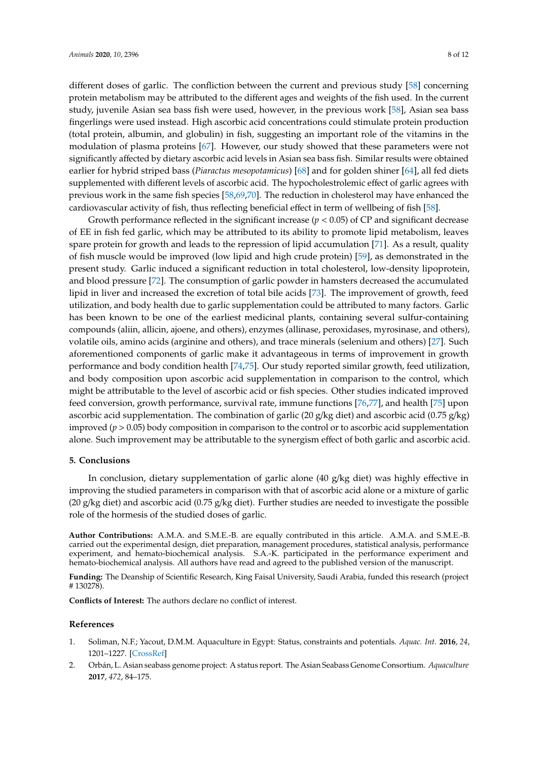different doses of garlic. The confliction between the current and previous study [\[58\]](#page-10-10) concerning

protein metabolism may be attributed to the different ages and weights of the fish used. In the current study, juvenile Asian sea bass fish were used, however, in the previous work [\[58\]](#page-10-10), Asian sea bass fingerlings were used instead. High ascorbic acid concentrations could stimulate protein production (total protein, albumin, and globulin) in fish, suggesting an important role of the vitamins in the modulation of plasma proteins [\[67\]](#page-10-19). However, our study showed that these parameters were not significantly affected by dietary ascorbic acid levels in Asian sea bass fish. Similar results were obtained earlier for hybrid striped bass (*Piaractus mesopotamicus*) [\[68\]](#page-11-0) and for golden shiner [\[64\]](#page-10-16), all fed diets supplemented with different levels of ascorbic acid. The hypocholestrolemic effect of garlic agrees with previous work in the same fish species [\[58,](#page-10-10)[69,](#page-11-1)[70\]](#page-11-2). The reduction in cholesterol may have enhanced the cardiovascular activity of fish, thus reflecting beneficial effect in term of wellbeing of fish [\[58\]](#page-10-10).

Growth performance reflected in the significant increase  $(p < 0.05)$  of CP and significant decrease of EE in fish fed garlic, which may be attributed to its ability to promote lipid metabolism, leaves spare protein for growth and leads to the repression of lipid accumulation [\[71\]](#page-11-3). As a result, quality of fish muscle would be improved (low lipid and high crude protein) [\[59\]](#page-10-11), as demonstrated in the present study. Garlic induced a significant reduction in total cholesterol, low-density lipoprotein, and blood pressure [\[72\]](#page-11-4). The consumption of garlic powder in hamsters decreased the accumulated lipid in liver and increased the excretion of total bile acids [\[73\]](#page-11-5). The improvement of growth, feed utilization, and body health due to garlic supplementation could be attributed to many factors. Garlic has been known to be one of the earliest medicinal plants, containing several sulfur-containing compounds (aliin, allicin, ajoene, and others), enzymes (allinase, peroxidases, myrosinase, and others), volatile oils, amino acids (arginine and others), and trace minerals (selenium and others) [\[27\]](#page-9-5). Such aforementioned components of garlic make it advantageous in terms of improvement in growth performance and body condition health [\[74,](#page-11-6)[75\]](#page-11-7). Our study reported similar growth, feed utilization, and body composition upon ascorbic acid supplementation in comparison to the control, which might be attributable to the level of ascorbic acid or fish species. Other studies indicated improved feed conversion, growth performance, survival rate, immune functions [\[76](#page-11-8)[,77\]](#page-11-9), and health [\[75\]](#page-11-7) upon ascorbic acid supplementation. The combination of garlic (20 g/kg diet) and ascorbic acid (0.75 g/kg) improved (*p* > 0.05) body composition in comparison to the control or to ascorbic acid supplementation alone. Such improvement may be attributable to the synergism effect of both garlic and ascorbic acid.

#### **5. Conclusions**

In conclusion, dietary supplementation of garlic alone (40 g/kg diet) was highly effective in improving the studied parameters in comparison with that of ascorbic acid alone or a mixture of garlic (20 g/kg diet) and ascorbic acid (0.75 g/kg diet). Further studies are needed to investigate the possible role of the hormesis of the studied doses of garlic.

**Author Contributions:** A.M.A. and S.M.E.-B. are equally contributed in this article. A.M.A. and S.M.E.-B. carried out the experimental design, diet preparation, management procedures, statistical analysis, performance experiment, and hemato-biochemical analysis. S.A.-K. participated in the performance experiment and hemato-biochemical analysis. All authors have read and agreed to the published version of the manuscript.

**Funding:** The Deanship of Scientific Research, King Faisal University, Saudi Arabia, funded this research (project # 130278).

**Conflicts of Interest:** The authors declare no conflict of interest.

#### **References**

- <span id="page-7-0"></span>1. Soliman, N.F.; Yacout, D.M.M. Aquaculture in Egypt: Status, constraints and potentials. *Aquac. Int.* **2016**, *24*, 1201–1227. [\[CrossRef\]](http://dx.doi.org/10.1007/s10499-016-9989-9)
- <span id="page-7-1"></span>2. Orbán, L. Asian seabass genome project: A status report. The Asian Seabass Genome Consortium. *Aquaculture* **2017**, *472*, 84–175.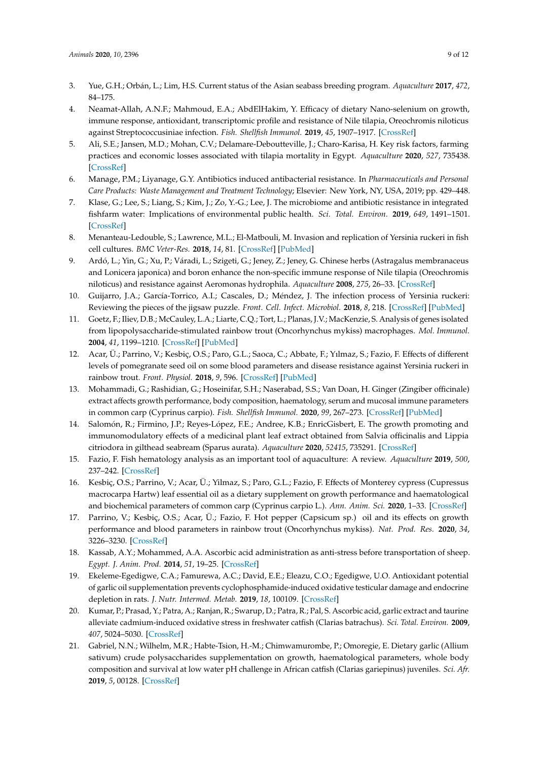- <span id="page-8-0"></span>3. Yue, G.H.; Orbán, L.; Lim, H.S. Current status of the Asian seabass breeding program. *Aquaculture* **2017**, *472*, 84–175.
- <span id="page-8-1"></span>4. Neamat-Allah, A.N.F.; Mahmoud, E.A.; AbdElHakim, Y. Efficacy of dietary Nano-selenium on growth, immune response, antioxidant, transcriptomic profile and resistance of Nile tilapia, Oreochromis niloticus against Streptococcusiniae infection. *Fish. Shellfish Immunol.* **2019**, *45*, 1907–1917. [\[CrossRef\]](http://dx.doi.org/10.1016/j.fsi.2019.09.019)
- <span id="page-8-2"></span>5. Ali, S.E.; Jansen, M.D.; Mohan, C.V.; Delamare-Deboutteville, J.; Charo-Karisa, H. Key risk factors, farming practices and economic losses associated with tilapia mortality in Egypt. *Aquaculture* **2020**, *527*, 735438. [\[CrossRef\]](http://dx.doi.org/10.1016/j.aquaculture.2020.735438)
- <span id="page-8-3"></span>6. Manage, P.M.; Liyanage, G.Y. Antibiotics induced antibacterial resistance. In *Pharmaceuticals and Personal Care Products: Waste Management and Treatment Technology*; Elsevier: New York, NY, USA, 2019; pp. 429–448.
- <span id="page-8-4"></span>7. Klase, G.; Lee, S.; Liang, S.; Kim, J.; Zo, Y.-G.; Lee, J. The microbiome and antibiotic resistance in integrated fishfarm water: Implications of environmental public health. *Sci. Total. Environ.* **2019**, *649*, 1491–1501. [\[CrossRef\]](http://dx.doi.org/10.1016/j.scitotenv.2018.08.288)
- <span id="page-8-5"></span>8. Menanteau-Ledouble, S.; Lawrence, M.L.; El-Matbouli, M. Invasion and replication of Yersinia ruckeri in fish cell cultures. *BMC Veter-Res.* **2018**, *14*, 81. [\[CrossRef\]](http://dx.doi.org/10.1186/s12917-018-1408-1) [\[PubMed\]](http://www.ncbi.nlm.nih.gov/pubmed/29523132)
- <span id="page-8-6"></span>9. Ardó, L.; Yin, G.; Xu, P.; Váradi, L.; Szigeti, G.; Jeney, Z.; Jeney, G. Chinese herbs (Astragalus membranaceus and Lonicera japonica) and boron enhance the non-specific immune response of Nile tilapia (Oreochromis niloticus) and resistance against Aeromonas hydrophila. *Aquaculture* **2008**, *275*, 26–33. [\[CrossRef\]](http://dx.doi.org/10.1016/j.aquaculture.2007.12.022)
- <span id="page-8-7"></span>10. Guijarro, J.A.; García-Torrico, A.I.; Cascales, D.; Méndez, J. The infection process of Yersinia ruckeri: Reviewing the pieces of the jigsaw puzzle. *Front. Cell. Infect. Microbiol.* **2018**, *8*, 218. [\[CrossRef\]](http://dx.doi.org/10.3389/fcimb.2018.00218) [\[PubMed\]](http://www.ncbi.nlm.nih.gov/pubmed/29998086)
- <span id="page-8-8"></span>11. Goetz, F.; Iliev, D.B.; McCauley, L.A.; Liarte, C.Q.; Tort, L.; Planas, J.V.; MacKenzie, S. Analysis of genes isolated from lipopolysaccharide-stimulated rainbow trout (Oncorhynchus mykiss) macrophages. *Mol. Immunol.* **2004**, *41*, 1199–1210. [\[CrossRef\]](http://dx.doi.org/10.1016/j.molimm.2004.06.005) [\[PubMed\]](http://www.ncbi.nlm.nih.gov/pubmed/15482855)
- <span id="page-8-9"></span>12. Acar, Ü.; Parrino, V.; Kesbiç, O.S.; Paro, G.L.; Saoca, C.; Abbate, F.; Yılmaz, S.; Fazio, F. Effects of different levels of pomegranate seed oil on some blood parameters and disease resistance against Yersinia ruckeri in rainbow trout. *Front. Physiol.* **2018**, *9*, 596. [\[CrossRef\]](http://dx.doi.org/10.3389/fphys.2018.00596) [\[PubMed\]](http://www.ncbi.nlm.nih.gov/pubmed/29875694)
- 13. Mohammadi, G.; Rashidian, G.; Hoseinifar, S.H.; Naserabad, S.S.; Van Doan, H. Ginger (Zingiber officinale) extract affects growth performance, body composition, haematology, serum and mucosal immune parameters in common carp (Cyprinus carpio). *Fish. Shellfish Immunol.* **2020**, *99*, 267–273. [\[CrossRef\]](http://dx.doi.org/10.1016/j.fsi.2020.01.032) [\[PubMed\]](http://www.ncbi.nlm.nih.gov/pubmed/31981777)
- 14. Salomón, R.; Firmino, J.P.; Reyes-López, F.E.; Andree, K.B.; EnricGisbert, E. The growth promoting and immunomodulatory effects of a medicinal plant leaf extract obtained from Salvia officinalis and Lippia citriodora in gilthead seabream (Sparus aurata). *Aquaculture* **2020**, *52415*, 735291. [\[CrossRef\]](http://dx.doi.org/10.1016/j.aquaculture.2020.735291)
- 15. Fazio, F. Fish hematology analysis as an important tool of aquaculture: A review. *Aquaculture* **2019**, *500*, 237–242. [\[CrossRef\]](http://dx.doi.org/10.1016/j.aquaculture.2018.10.030)
- 16. Kesbiç, O.S.; Parrino, V.; Acar, Ü.; Yilmaz, S.; Paro, G.L.; Fazio, F. Effects of Monterey cypress (Cupressus macrocarpa Hartw) leaf essential oil as a dietary supplement on growth performance and haematological and biochemical parameters of common carp (Cyprinus carpio L.). *Ann. Anim. Sci.* **2020**, 1–33. [\[CrossRef\]](http://dx.doi.org/10.2478/aoas-2020-0041)
- <span id="page-8-10"></span>17. Parrino, V.; Kesbiç, O.S.; Acar, Ü.; Fazio, F. Hot pepper (Capsicum sp.) oil and its effects on growth performance and blood parameters in rainbow trout (Oncorhynchus mykiss). *Nat. Prod. Res.* **2020**, *34*, 3226–3230. [\[CrossRef\]](http://dx.doi.org/10.1080/14786419.2018.1550769)
- <span id="page-8-11"></span>18. Kassab, A.Y.; Mohammed, A.A. Ascorbic acid administration as anti-stress before transportation of sheep. *Egypt. J. Anim. Prod.* **2014**, *51*, 19–25. [\[CrossRef\]](http://dx.doi.org/10.21608/ejap.2014.93664)
- <span id="page-8-12"></span>19. Ekeleme-Egedigwe, C.A.; Famurewa, A.C.; David, E.E.; Eleazu, C.O.; Egedigwe, U.O. Antioxidant potential of garlic oil supplementation prevents cyclophosphamide-induced oxidative testicular damage and endocrine depletion in rats. *J. Nutr. Intermed. Metab.* **2019**, *18*, 100109. [\[CrossRef\]](http://dx.doi.org/10.1016/j.jnim.2020.100109)
- <span id="page-8-13"></span>20. Kumar, P.; Prasad, Y.; Patra, A.; Ranjan, R.; Swarup, D.; Patra, R.; Pal, S. Ascorbic acid, garlic extract and taurine alleviate cadmium-induced oxidative stress in freshwater catfish (Clarias batrachus). *Sci. Total. Environ.* **2009**, *407*, 5024–5030. [\[CrossRef\]](http://dx.doi.org/10.1016/j.scitotenv.2009.05.030)
- <span id="page-8-14"></span>21. Gabriel, N.N.; Wilhelm, M.R.; Habte-Tsion, H.-M.; Chimwamurombe, P.; Omoregie, E. Dietary garlic (Allium sativum) crude polysaccharides supplementation on growth, haematological parameters, whole body composition and survival at low water pH challenge in African catfish (Clarias gariepinus) juveniles. *Sci. Afr.* **2019**, *5*, 00128. [\[CrossRef\]](http://dx.doi.org/10.1016/j.sciaf.2019.e00128)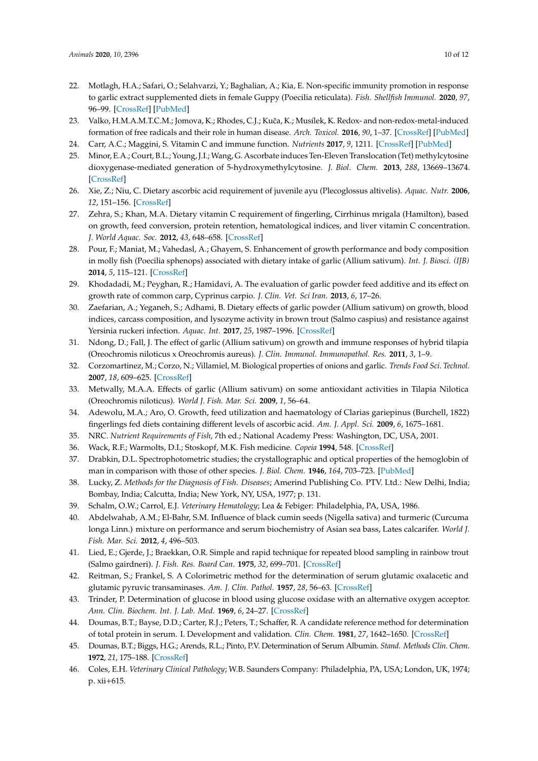- <span id="page-9-0"></span>22. Motlagh, H.A.; Safari, O.; Selahvarzi, Y.; Baghalian, A.; Kia, E. Non-specific immunity promotion in response to garlic extract supplemented diets in female Guppy (Poecilia reticulata). *Fish. Shellfish Immunol.* **2020**, *97*, 96–99. [\[CrossRef\]](http://dx.doi.org/10.1016/j.fsi.2019.12.007) [\[PubMed\]](http://www.ncbi.nlm.nih.gov/pubmed/31841692)
- <span id="page-9-1"></span>23. Valko, H.M.A.M.T.C.M.; Jomova, K.; Rhodes, C.J.; Kuˇca, K.; Musílek, K. Redox- and non-redox-metal-induced formation of free radicals and their role in human disease. *Arch. Toxicol.* **2016**, *90*, 1–37. [\[CrossRef\]](http://dx.doi.org/10.1007/s00204-015-1579-5) [\[PubMed\]](http://www.ncbi.nlm.nih.gov/pubmed/26343967)
- <span id="page-9-2"></span>24. Carr, A.C.; Maggini, S. Vitamin C and immune function. *Nutrients* **2017**, *9*, 1211. [\[CrossRef\]](http://dx.doi.org/10.3390/nu9111211) [\[PubMed\]](http://www.ncbi.nlm.nih.gov/pubmed/29099763)
- <span id="page-9-3"></span>25. Minor, E.A.; Court, B.L.; Young, J.I.; Wang, G. Ascorbate induces Ten-Eleven Translocation (Tet) methylcytosine dioxygenase-mediated generation of 5-hydroxymethylcytosine. *J. Biol. Chem.* **2013**, *288*, 13669–13674. [\[CrossRef\]](http://dx.doi.org/10.1074/jbc.C113.464800)
- <span id="page-9-4"></span>26. Xie, Z.; Niu, C. Dietary ascorbic acid requirement of juvenile ayu (Plecoglossus altivelis). *Aquac. Nutr.* **2006**, *12*, 151–156. [\[CrossRef\]](http://dx.doi.org/10.1111/j.1365-2095.2006.00395.x)
- <span id="page-9-5"></span>27. Zehra, S.; Khan, M.A. Dietary vitamin C requirement of fingerling, Cirrhinus mrigala (Hamilton), based on growth, feed conversion, protein retention, hematological indices, and liver vitamin C concentration. *J. World Aquac. Soc.* **2012**, *43*, 648–658. [\[CrossRef\]](http://dx.doi.org/10.1111/j.1749-7345.2012.00597.x)
- <span id="page-9-6"></span>28. Pour, F.; Maniat, M.; Vahedasl, A.; Ghayem, S. Enhancement of growth performance and body composition in molly fish (Poecilia sphenops) associated with dietary intake of garlic (Allium sativum). *Int. J. Biosci. (IJB)* **2014**, *5*, 115–121. [\[CrossRef\]](http://dx.doi.org/10.12692/ijb/5.8.115-121)
- <span id="page-9-7"></span>29. Khodadadi, M.; Peyghan, R.; Hamidavi, A. The evaluation of garlic powder feed additive and its effect on growth rate of common carp, Cyprinus carpio. *J. Clin. Vet. Sci Iran.* **2013**, *6*, 17–26.
- <span id="page-9-8"></span>30. Zaefarian, A.; Yeganeh, S.; Adhami, B. Dietary effects of garlic powder (Allium sativum) on growth, blood indices, carcass composition, and lysozyme activity in brown trout (Salmo caspius) and resistance against Yersinia ruckeri infection. *Aquac. Int.* **2017**, *25*, 1987–1996. [\[CrossRef\]](http://dx.doi.org/10.1007/s10499-017-0169-3)
- <span id="page-9-9"></span>31. Ndong, D.; Fall, J. The effect of garlic (Allium sativum) on growth and immune responses of hybrid tilapia (Oreochromis niloticus x Oreochromis aureus). *J. Clin. Immunol. Immunopathol. Res.* **2011**, *3*, 1–9.
- <span id="page-9-10"></span>32. Corzomartinez, M.; Corzo, N.; Villamiel, M. Biological properties of onions and garlic. *Trends Food Sci. Technol.* **2007**, *18*, 609–625. [\[CrossRef\]](http://dx.doi.org/10.1016/j.tifs.2007.07.011)
- <span id="page-9-11"></span>33. Metwally, M.A.A. Effects of garlic (Allium sativum) on some antioxidant activities in Tilapia Nilotica (Oreochromis niloticus). *World J. Fish. Mar. Sci.* **2009**, *1*, 56–64.
- <span id="page-9-12"></span>34. Adewolu, M.A.; Aro, O. Growth, feed utilization and haematology of Clarias gariepinus (Burchell, 1822) fingerlings fed diets containing different levels of ascorbic acid. *Am. J. Appl. Sci.* **2009**, *6*, 1675–1681.
- <span id="page-9-13"></span>35. NRC. *Nutrient Requirements of Fish*, 7th ed.; National Academy Press: Washington, DC, USA, 2001.
- <span id="page-9-14"></span>36. Wack, R.F.; Warmolts, D.I.; Stoskopf, M.K. Fish medicine. *Copeia* **1994**, 548. [\[CrossRef\]](http://dx.doi.org/10.2307/1447015)
- <span id="page-9-15"></span>37. Drabkin, D.L. Spectrophotometric studies; the crystallographic and optical properties of the hemoglobin of man in comparison with those of other species. *J. Biol. Chem.* **1946**, *164*, 703–723. [\[PubMed\]](http://www.ncbi.nlm.nih.gov/pubmed/21001166)
- <span id="page-9-16"></span>38. Lucky, Z. *Methods for the Diagnosis of Fish. Diseases*; Amerind Publishing Co. PTV. Ltd.: New Delhi, India; Bombay, India; Calcutta, India; New York, NY, USA, 1977; p. 131.
- <span id="page-9-17"></span>39. Schalm, O.W.; Carrol, E.J. *Veterinary Hematology*; Lea & Febiger: Philadelphia, PA, USA, 1986.
- <span id="page-9-18"></span>40. Abdelwahab, A.M.; El-Bahr, S.M. Influence of black cumin seeds (Nigella sativa) and turmeric (Curcuma longa Linn.) mixture on performance and serum biochemistry of Asian sea bass, Lates calcarifer. *World J. Fish. Mar. Sci.* **2012**, *4*, 496–503.
- <span id="page-9-19"></span>41. Lied, E.; Gjerde, J.; Braekkan, O.R. Simple and rapid technique for repeated blood sampling in rainbow trout (Salmo gairdneri). *J. Fish. Res. Board Can.* **1975**, *32*, 699–701. [\[CrossRef\]](http://dx.doi.org/10.1139/f75-089)
- <span id="page-9-20"></span>42. Reitman, S.; Frankel, S. A Colorimetric method for the determination of serum glutamic oxalacetic and glutamic pyruvic transaminases. *Am. J. Clin. Pathol.* **1957**, *28*, 56–63. [\[CrossRef\]](http://dx.doi.org/10.1093/ajcp/28.1.56)
- <span id="page-9-21"></span>43. Trinder, P. Determination of glucose in blood using glucose oxidase with an alternative oxygen acceptor. *Ann. Clin. Biochem. Int. J. Lab. Med.* **1969**, *6*, 24–27. [\[CrossRef\]](http://dx.doi.org/10.1177/000456326900600108)
- 44. Doumas, B.T.; Bayse, D.D.; Carter, R.J.; Peters, T.; Schaffer, R. A candidate reference method for determination of total protein in serum. I. Development and validation. *Clin. Chem.* **1981**, *27*, 1642–1650. [\[CrossRef\]](http://dx.doi.org/10.1093/clinchem/27.10.1642)
- 45. Doumas, B.T.; Biggs, H.G.; Arends, R.L.; Pinto, P.V. Determination of Serum Albumin. *Stand. Methods Clin. Chem.* **1972**, *21*, 175–188. [\[CrossRef\]](http://dx.doi.org/10.1016/b978-0-12-609107-6.50022-2)
- <span id="page-9-22"></span>46. Coles, E.H. *Veterinary Clinical Pathology*; W.B. Saunders Company: Philadelphia, PA, USA; London, UK, 1974; p. xii+615.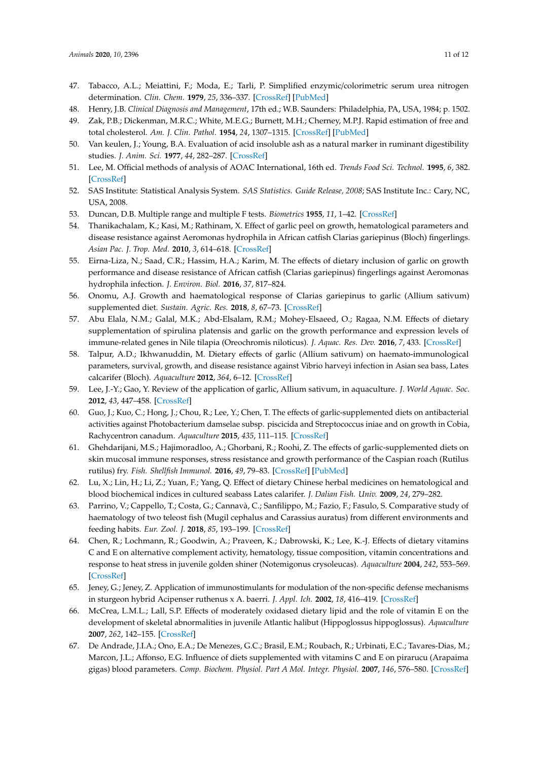- <span id="page-10-0"></span>47. Tabacco, A.L.; Meiattini, F.; Moda, E.; Tarli, P. Simplified enzymic/colorimetric serum urea nitrogen determination. *Clin. Chem.* **1979**, *25*, 336–337. [\[CrossRef\]](http://dx.doi.org/10.1093/clinchem/25.2.336a) [\[PubMed\]](http://www.ncbi.nlm.nih.gov/pubmed/759035)
- <span id="page-10-1"></span>48. Henry, J.B. *Clinical Diagnosis and Management*, 17th ed.; W.B. Saunders: Philadelphia, PA, USA, 1984; p. 1502.
- <span id="page-10-2"></span>49. Zak, P.B.; Dickenman, M.R.C.; White, M.E.G.; Burnett, M.H.; Cherney, M.P.J. Rapid estimation of free and total cholesterol. *Am. J. Clin. Pathol.* **1954**, *24*, 1307–1315. [\[CrossRef\]](http://dx.doi.org/10.1093/ajcp/24.11_ts.1307) [\[PubMed\]](http://www.ncbi.nlm.nih.gov/pubmed/13207063)
- <span id="page-10-3"></span>50. Van keulen, J.; Young, B.A. Evaluation of acid insoluble ash as a natural marker in ruminant digestibility studies. *J. Anim. Sci.* **1977**, *44*, 282–287. [\[CrossRef\]](http://dx.doi.org/10.2527/jas1977.442282x)
- <span id="page-10-4"></span>51. Lee, M. Official methods of analysis of AOAC International, 16th ed. *Trends Food Sci. Technol.* **1995**, *6*, 382. [\[CrossRef\]](http://dx.doi.org/10.1016/0924-2244(95)90022-5)
- <span id="page-10-5"></span>52. SAS Institute: Statistical Analysis System. *SAS Statistics. Guide Release, 2008*; SAS Institute Inc.: Cary, NC, USA, 2008.
- <span id="page-10-6"></span>53. Duncan, D.B. Multiple range and multiple F tests. *Biometrics* **1955**, *11*, 1–42. [\[CrossRef\]](http://dx.doi.org/10.2307/3001478)
- <span id="page-10-7"></span>54. Thanikachalam, K.; Kasi, M.; Rathinam, X. Effect of garlic peel on growth, hematological parameters and disease resistance against Aeromonas hydrophila in African catfish Clarias gariepinus (Bloch) fingerlings. *Asian Pac. J. Trop. Med.* **2010**, *3*, 614–618. [\[CrossRef\]](http://dx.doi.org/10.1016/S1995-7645(10)60149-6)
- 55. Eirna-Liza, N.; Saad, C.R.; Hassim, H.A.; Karim, M. The effects of dietary inclusion of garlic on growth performance and disease resistance of African catfish (Clarias gariepinus) fingerlings against Aeromonas hydrophila infection. *J. Environ. Biol.* **2016**, *37*, 817–824.
- <span id="page-10-8"></span>56. Onomu, A.J. Growth and haematological response of Clarias gariepinus to garlic (Allium sativum) supplemented diet. *Sustain. Agric. Res.* **2018**, *8*, 67–73. [\[CrossRef\]](http://dx.doi.org/10.5539/sar.v8n1p67)
- <span id="page-10-9"></span>57. Abu Elala, N.M.; Galal, M.K.; Abd-Elsalam, R.M.; Mohey-Elsaeed, O.; Ragaa, N.M. Effects of dietary supplementation of spirulina platensis and garlic on the growth performance and expression levels of immune-related genes in Nile tilapia (Oreochromis niloticus). *J. Aquac. Res. Dev.* **2016**, *7*, 433. [\[CrossRef\]](http://dx.doi.org/10.4172/2155-9546.1000433)
- <span id="page-10-10"></span>58. Talpur, A.D.; Ikhwanuddin, M. Dietary effects of garlic (Allium sativum) on haemato-immunological parameters, survival, growth, and disease resistance against Vibrio harveyi infection in Asian sea bass, Lates calcarifer (Bloch). *Aquaculture* **2012**, *364*, 6–12. [\[CrossRef\]](http://dx.doi.org/10.1016/j.aquaculture.2012.07.035)
- <span id="page-10-11"></span>59. Lee, J.-Y.; Gao, Y. Review of the application of garlic, Allium sativum, in aquaculture. *J. World Aquac. Soc.* **2012**, *43*, 447–458. [\[CrossRef\]](http://dx.doi.org/10.1111/j.1749-7345.2012.00581.x)
- <span id="page-10-12"></span>60. Guo, J.; Kuo, C.; Hong, J.; Chou, R.; Lee, Y.; Chen, T. The effects of garlic-supplemented diets on antibacterial activities against Photobacterium damselae subsp. piscicida and Streptococcus iniae and on growth in Cobia, Rachycentron canadum. *Aquaculture* **2015**, *435*, 111–115. [\[CrossRef\]](http://dx.doi.org/10.1016/j.aquaculture.2014.09.029)
- <span id="page-10-13"></span>61. Ghehdarijani, M.S.; Hajimoradloo, A.; Ghorbani, R.; Roohi, Z. The effects of garlic-supplemented diets on skin mucosal immune responses, stress resistance and growth performance of the Caspian roach (Rutilus rutilus) fry. *Fish. Shellfish Immunol.* **2016**, *49*, 79–83. [\[CrossRef\]](http://dx.doi.org/10.1016/j.fsi.2015.12.021) [\[PubMed\]](http://www.ncbi.nlm.nih.gov/pubmed/26700174)
- <span id="page-10-14"></span>62. Lu, X.; Lin, H.; Li, Z.; Yuan, F.; Yang, Q. Effect of dietary Chinese herbal medicines on hematological and blood biochemical indices in cultured seabass Lates calarifer. *J. Dalian Fish. Univ.* **2009**, *24*, 279–282.
- <span id="page-10-15"></span>63. Parrino, V.; Cappello, T.; Costa, G.; Cannavà, C.; Sanfilippo, M.; Fazio, F.; Fasulo, S. Comparative study of haematology of two teleost fish (Mugil cephalus and Carassius auratus) from different environments and feeding habits. *Eur. Zool. J.* **2018**, *85*, 193–199. [\[CrossRef\]](http://dx.doi.org/10.1080/24750263.2018.1460694)
- <span id="page-10-16"></span>64. Chen, R.; Lochmann, R.; Goodwin, A.; Praveen, K.; Dabrowski, K.; Lee, K.-J. Effects of dietary vitamins C and E on alternative complement activity, hematology, tissue composition, vitamin concentrations and response to heat stress in juvenile golden shiner (Notemigonus crysoleucas). *Aquaculture* **2004**, *242*, 553–569. [\[CrossRef\]](http://dx.doi.org/10.1016/j.aquaculture.2004.09.012)
- <span id="page-10-17"></span>65. Jeney, G.; Jeney, Z. Application of immunostimulants for modulation of the non-specific defense mechanisms in sturgeon hybrid Acipenser ruthenus x A. baerri. *J. Appl. Ich.* **2002**, *18*, 416–419. [\[CrossRef\]](http://dx.doi.org/10.1046/j.1439-0426.2002.00405.x)
- <span id="page-10-18"></span>66. McCrea, L.M.L.; Lall, S.P. Effects of moderately oxidased dietary lipid and the role of vitamin E on the development of skeletal abnormalities in juvenile Atlantic halibut (Hippoglossus hippoglossus). *Aquaculture* **2007**, *262*, 142–155. [\[CrossRef\]](http://dx.doi.org/10.1016/j.aquaculture.2006.09.024)
- <span id="page-10-19"></span>67. De Andrade, J.I.A.; Ono, E.A.; De Menezes, G.C.; Brasil, E.M.; Roubach, R.; Urbinati, E.C.; Tavares-Dias, M.; Marcon, J.L.; Affonso, E.G. Influence of diets supplemented with vitamins C and E on pirarucu (Arapaima gigas) blood parameters. *Comp. Biochem. Physiol. Part A Mol. Integr. Physiol.* **2007**, *146*, 576–580. [\[CrossRef\]](http://dx.doi.org/10.1016/j.cbpa.2006.03.017)